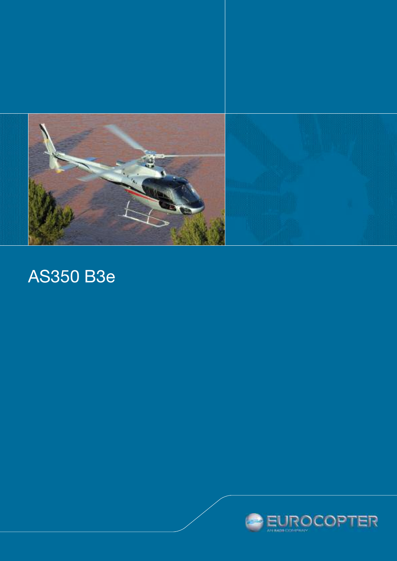

# AS350 B3e

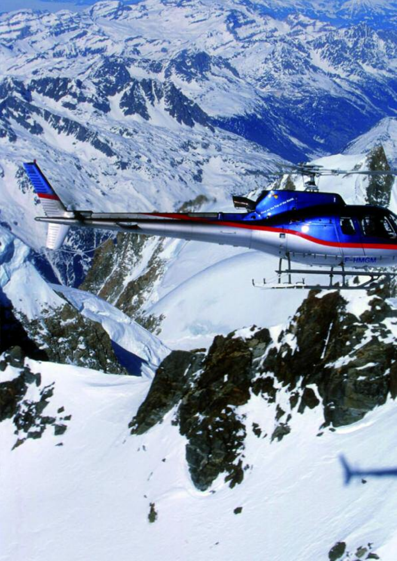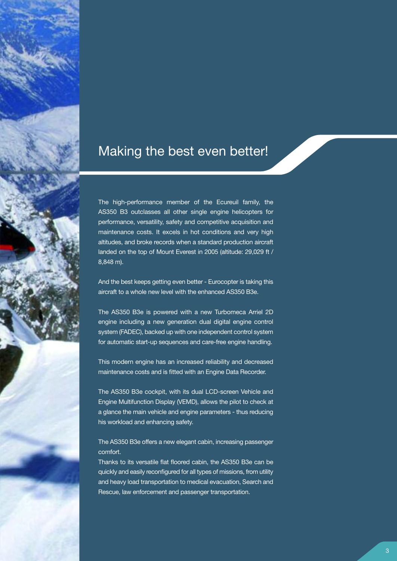## Making the best even better!

The high-performance member of the Ecureuil family, the AS350 B3 outclasses all other single engine helicopters for performance, versatility, safety and competitive acquisition and maintenance costs. It excels in hot conditions and very high altitudes, and broke records when a standard production aircraft landed on the top of Mount Everest in 2005 (altitude: 29,029 ft / 8,848 m).

And the best keeps getting even better - Eurocopter is taking this aircraft to a whole new level with the enhanced AS350 B3e.

The AS350 B3e is powered with a new Turbomeca Arriel 2D engine including a new generation dual digital engine control system (FADEC), backed up with one independent control system for automatic start-up sequences and care-free engine handling.

This modern engine has an increased reliability and decreased maintenance costs and is fitted with an Engine Data Recorder.

The AS350 B3e cockpit, with its dual LCD-screen Vehicle and Engine Multifunction Display (VEMD), allows the pilot to check at a glance the main vehicle and engine parameters - thus reducing his workload and enhancing safety.

The AS350 B3e offers a new elegant cabin, increasing passenger comfort.

Thanks to its versatile flat floored cabin, the AS350 B3e can be quickly and easily reconfigured for all types of missions, from utility and heavy load transportation to medical evacuation, Search and Rescue, law enforcement and passenger transportation.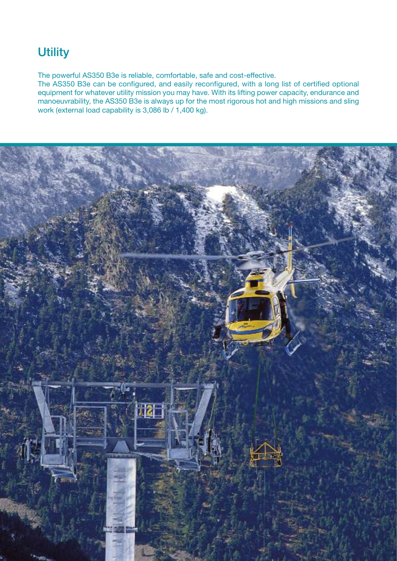### **Utility**

The powerful AS350 B3e is reliable, comfortable, safe and cost-effective.

The AS350 B3e can be configured, and easily reconfigured, with a long list of certified optional equipment for whatever utility mission you may have. With its lifting power capacity, endurance and manoeuvrability, the AS350 B3e is always up for the most rigorous hot and high missions and sling work (external load capability is 3,086 lb / 1,400 kg).

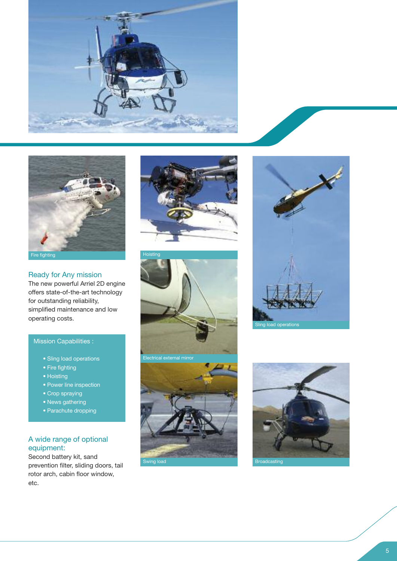



#### Ready for Any mission

The new powerful Arriel 2D engine offers state-of-the-art technology for outstanding reliability, simplified maintenance and low operating costs.

#### Mission Capabilities :

- Sling load operations
- Fire fighting
- Hoisting
- Power line inspection
- Crop spraying
- News gathering
- Parachute dropping

#### A wide range of optional equipment:

Second battery kit, sand prevention filter, sliding doors, tail rotor arch, cabin floor window, etc.





Electrical external mirror



Swing load



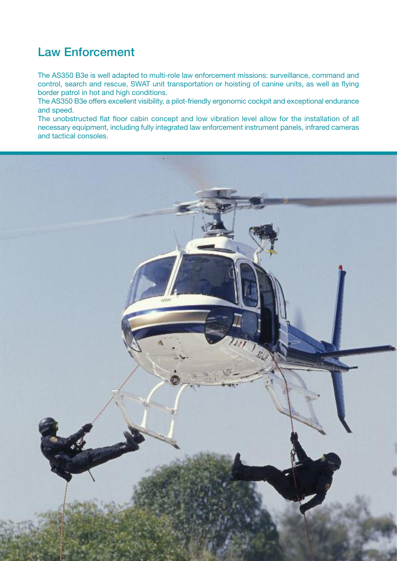### **Law Enforcement**

The AS350 B3e is well adapted to multi-role law enforcement missions: surveillance, command and control, search and rescue, SWAT unit transportation or hoisting of canine units, as well as flying border patrol in hot and high conditions.

The AS350 B3e offers excellent visibility, a pilot-friendly ergonomic cockpit and exceptional endurance and speed.

The unobstructed flat floor cabin concept and low vibration level allow for the installation of all necessary equipment, including fully integrated law enforcement instrument panels, infrared cameras and tactical consoles.

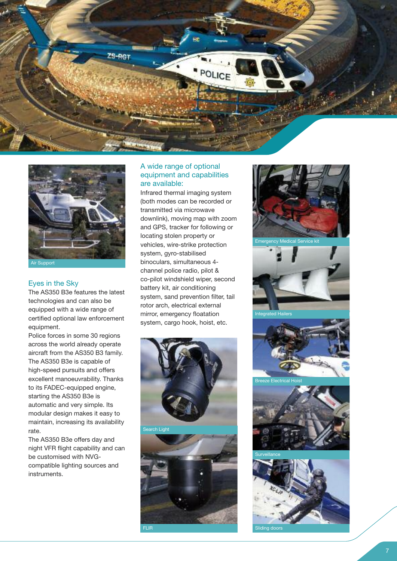



Eyes in the Sky

The AS350 B3e features the latest technologies and can also be equipped with a wide range of certified optional law enforcement equipment.

Police forces in some 30 regions across the world already operate aircraft from the AS350 B3 family. The AS350 B3e is capable of high-speed pursuits and offers excellent manoeuvrability. Thanks to its FADEC-equipped engine, starting the AS350 B3e is automatic and very simple. Its modular design makes it easy to maintain, increasing its availability rate.

The AS350 B3e offers day and night VFR flight capability and can be customised with NVGcompatible lighting sources and instruments.

#### A wide range of optional equipment and capabilities are available:

Infrared thermal imaging system (both modes can be recorded or transmitted via microwave downlink), moving map with zoom and GPS, tracker for following or locating stolen property or vehicles, wire-strike protection system, gyro-stabilised binoculars, simultaneous 4 channel police radio, pilot & co-pilot windshield wiper, second battery kit, air conditioning system, sand prevention filter, tail rotor arch, electrical external mirror, emergency floatation system, cargo hook, hoist, etc.







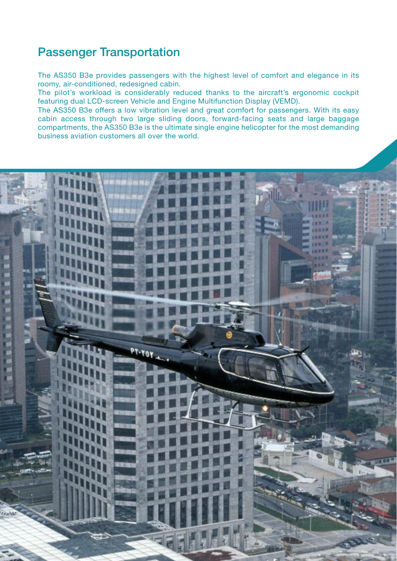### **Passenger Transportation**

The AS350 B3e provides passengers with the highest level of comfort and elegance in its roomy, air-conditioned, redesigned cabin.

The pilot's workload is considerably reduced thanks to the aircraft's ergonomic cockpit featuring dual LCD-screen Vehicle and Engine Multifunction Display (VEMD).

The AS350 B3e offers a low vibration level and great comfort for passengers. With its easy cabin access through two large sliding doors, forward-facing seats and large baggage compartments, the AS350 B3e is the ultimate single engine helicopter for the most demanding business aviation customers all over the world.

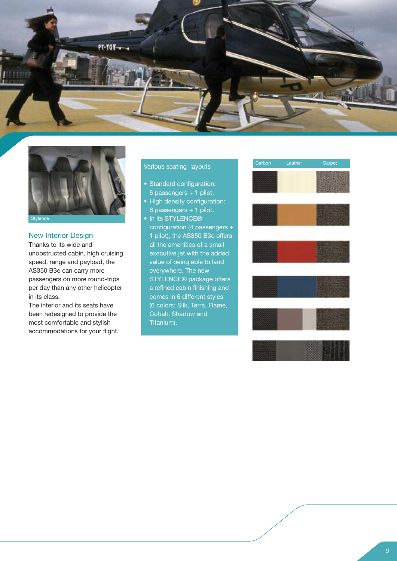



#### New Interior Design

Thanks to its wide and unobstructed cabin, high cruising speed, range and payload, the AS350 B3e can carry more passengers on more round-trips per day than any other helicopter in its class.

The interior and its seats have been redesigned to provide the most comfortable and stylish accommodations for your flight.

#### Various seating layouts

- Standard configuration: 5 passengers + 1 pilot.
- High density configuration: 6 passengers + 1 pilot.
- In its STYLENCE® configuration (4 passengers + 1 pilot), the AS350 B3e offers all the amenities of a small executive jet with the added value of being able to land everywhere. The new STYLENCE® package offers a refined cabin finishing and comes in 6 different styles (6 colors: Silk, Terra, Flame, Cobalt, Shadow and Titanium).

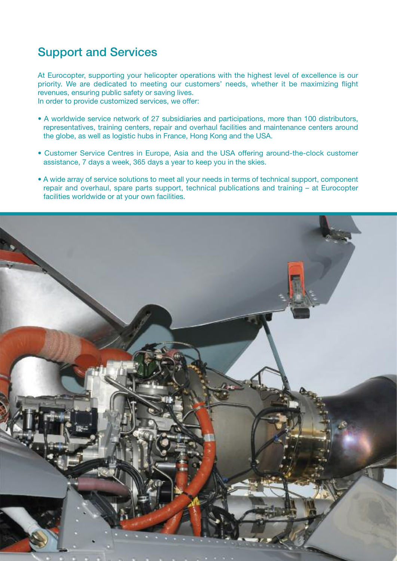### **Support and Services**

At Eurocopter, supporting your helicopter operations with the highest level of excellence is our priority. We are dedicated to meeting our customers' needs, whether it be maximizing flight revenues, ensuring public safety or saving lives. In order to provide customized services, we offer:

• A worldwide service network of 27 subsidiaries and participations, more than 100 distributors, representatives, training centers, repair and overhaul facilities and maintenance centers around the globe, as well as logistic hubs in France, Hong Kong and the USA.

- Customer Service Centres in Europe, Asia and the USA offering around-the-clock customer assistance, 7 days a week, 365 days a year to keep you in the skies.
- A wide array of service solutions to meet all your needs in terms of technical support, component repair and overhaul, spare parts support, technical publications and training – at Eurocopter facilities worldwide or at your own facilities.

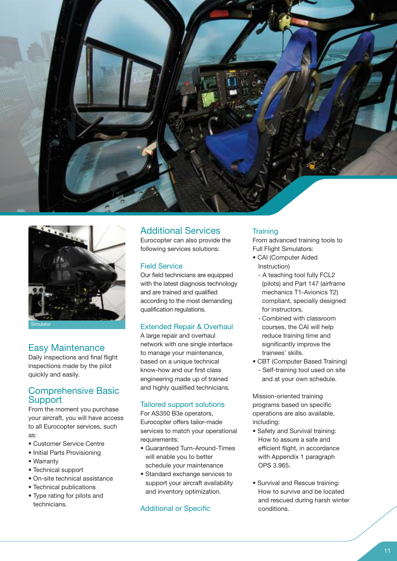



#### Easy Maintenance

Daily inspections and final flight inspections made by the pilot quickly and easily.

#### Comprehensive Basic **Support**

From the moment you purchase your aircraft, you will have access to all Eurocopter services, such as:

- Customer Service Centre
- Initial Parts Provisioning
- Warranty
- Technical support
- On-site technical assistance
- Technical publications
- Type rating for pilots and technicians.

#### Additional Services

Eurocopter can also provide the following services solutions:

#### Field Service

Our field technicians are equipped with the latest diagnosis technology and are trained and qualified according to the most demanding qualification regulations.

#### Extended Repair & Overhaul

A large repair and overhaul network with one single interface to manage your maintenance, based on a unique technical know-how and our first class engineering made up of trained and highly qualified technicians.

#### Tailored support solutions

For AS350 B3e operators, Eurocopter offers tailor-made services to match your operational requirements:

- Guaranteed Turn-Around-Times will enable you to better schedule your maintenance
- Standard exchange services to support your aircraft availability and inventory optimization.

Additional or Specific

#### **Training**

From advanced training tools to Full Flight Simulators:

- CAI (Computer Aided Instruction)
	- A teaching tool fully FCL2 (pilots) and Part 147 (airframe mechanics T1-Avionics T2) compliant, specially designed for instructors.
	- Combined with classroom courses, the CAI will help reduce training time and significantly improve the trainees' skills.
- CBT (Computer Based Training) - Self-training tool used on site and at your own schedule.

Mission-oriented training programs based on specific operations are also available, including:

- Safety and Survival training: How to assure a safe and efficient flight, in accordance with Appendix 1 paragraph OPS 3.965.
- Survival and Rescue training: How to survive and be located and rescued during harsh winter conditions.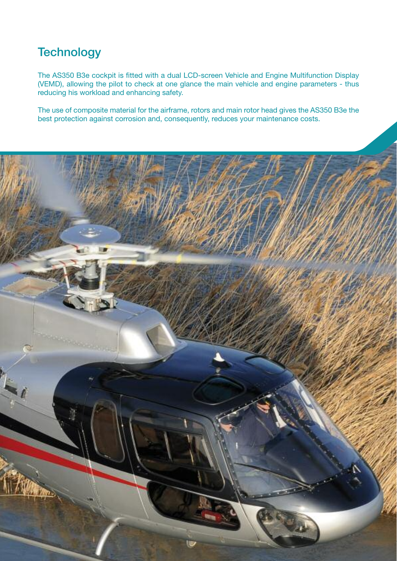### **Technology**

The AS350 B3e cockpit is fitted with a dual LCD-screen Vehicle and Engine Multifunction Display (VEMD), allowing the pilot to check at one glance the main vehicle and engine parameters - thus reducing his workload and enhancing safety.

The use of composite material for the airframe, rotors and main rotor head gives the AS350 B3e the best protection against corrosion and, consequently, reduces your maintenance costs.

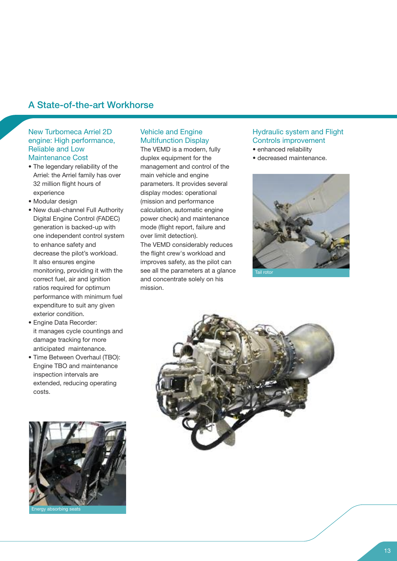#### **A State-of-the-art Workhorse**

#### New Turbomeca Arriel 2D engine: High performance, Reliable and Low Maintenance Cost

- The legendary reliability of the Arriel: the Arriel family has over 32 million flight hours of experience
- Modular design
- New dual-channel Full Authority Digital Engine Control (FADEC) generation is backed-up with one independent control system to enhance safety and decrease the pilot's workload. It also ensures engine monitoring, providing it with the correct fuel, air and ignition ratios required for optimum performance with minimum fuel expenditure to suit any given exterior condition.
- Engine Data Recorder: it manages cycle countings and damage tracking for more anticipated maintenance.
- Time Between Overhaul (TBO): Engine TBO and maintenance inspection intervals are extended, reducing operating costs.



absorbing seat

#### Vehicle and Engine Multifunction Display

The VEMD is a modern, fully duplex equipment for the management and control of the main vehicle and engine parameters. It provides several display modes: operational (mission and performance calculation, automatic engine power check) and maintenance mode (flight report, failure and over limit detection).

The VEMD considerably reduces the flight crew's workload and improves safety, as the pilot can see all the parameters at a glance and concentrate solely on his mission.

#### Hydraulic system and Flight Controls improvement

• enhanced reliability

• decreased maintenance.



Tail rotor

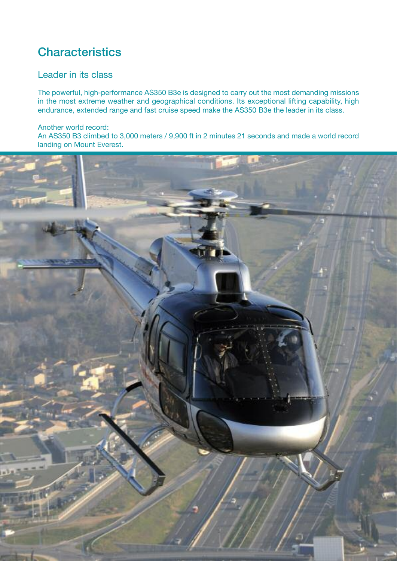### **Characteristics**

#### Leader in its class

The powerful, high-performance AS350 B3e is designed to carry out the most demanding missions in the most extreme weather and geographical conditions. Its exceptional lifting capability, high endurance, extended range and fast cruise speed make the AS350 B3e the leader in its class.

#### Another world record:

An AS350 B3 climbed to 3,000 meters / 9,900 ft in 2 minutes 21 seconds and made a world record landing on Mount Everest.

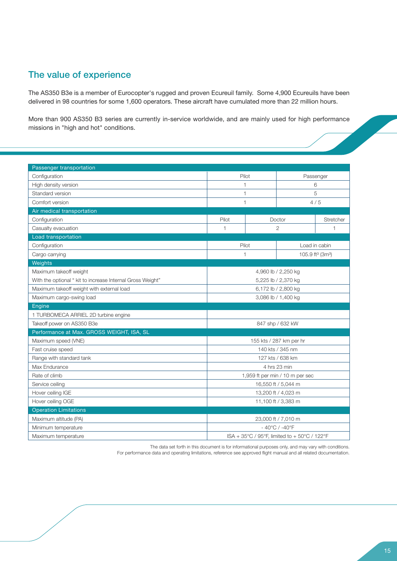### **The value of experience**

The AS350 B3e is a member of Eurocopter's rugged and proven Ecureuil family. Some 4,900 Ecureuils have been delivered in 98 countries for some 1,600 operators. These aircraft have cumulated more than 22 million hours.

More than 900 AS350 B3 series are currently in-service worldwide, and are mainly used for high performance missions in "high and hot" conditions.

| Passenger transportation                                   |                                              |  |                                          |           |
|------------------------------------------------------------|----------------------------------------------|--|------------------------------------------|-----------|
| Configuration                                              | Pilot                                        |  | Passenger                                |           |
| High density version                                       | 1                                            |  | 6                                        |           |
| Standard version                                           | 1                                            |  | 5                                        |           |
| Comfort version                                            | $\mathbf{1}$                                 |  | 4/5                                      |           |
| Air medical transportation                                 |                                              |  |                                          |           |
| Configuration                                              | Pilot                                        |  | Doctor                                   | Stretcher |
| Casualty evacuation                                        | $\overline{1}$                               |  | $\overline{2}$                           | 1         |
| Load transportation                                        |                                              |  |                                          |           |
| Configuration                                              | Pilot                                        |  | Load in cabin                            |           |
| Cargo carrying                                             | 1                                            |  | 105.9 ft <sup>3</sup> (3m <sup>3</sup> ) |           |
| Weights                                                    |                                              |  |                                          |           |
| Maximum takeoff weight                                     | 4,960 lb / 2,250 kg                          |  |                                          |           |
| With the optional " kit to increase Internal Gross Weight" | 5,225 lb / 2,370 kg                          |  |                                          |           |
| Maximum takeoff weight with external load                  | 6,172 lb / 2,800 kg                          |  |                                          |           |
| Maximum cargo-swing load                                   | 3,086 lb / 1,400 kg                          |  |                                          |           |
| Engine                                                     |                                              |  |                                          |           |
| 1 TURBOMECA ARRIEL 2D turbine engine                       |                                              |  |                                          |           |
| Takeoff power on AS350 B3e                                 | 847 shp / 632 kW                             |  |                                          |           |
| Performance at Max. GROSS WEIGHT, ISA, SL                  |                                              |  |                                          |           |
| Maximum speed (VNE)                                        | 155 kts / 287 km per hr                      |  |                                          |           |
| Fast cruise speed                                          | 140 kts / 345 nm                             |  |                                          |           |
| Range with standard tank                                   | 127 kts / 638 km                             |  |                                          |           |
| Max Endurance                                              | 4 hrs 23 min                                 |  |                                          |           |
| Rate of climb                                              | 1,959 ft per min / 10 m per sec              |  |                                          |           |
| Service ceiling                                            | 16,550 ft / 5,044 m                          |  |                                          |           |
| Hover ceiling IGE                                          | 13,200 ft / 4,023 m                          |  |                                          |           |
| Hover ceiling OGE                                          | 11,100 ft / 3,383 m                          |  |                                          |           |
| <b>Operation Limitations</b>                               |                                              |  |                                          |           |
| Maximum altitude (PA)                                      | 23,000 ft / 7,010 m                          |  |                                          |           |
| Minimum temperature                                        | $-40^{\circ}$ C / $-40^{\circ}$ F            |  |                                          |           |
| Maximum temperature                                        | ISA + 35°C / 95°F, limited to + 50°C / 122°F |  |                                          |           |

The data set forth in this document is for informational purposes only, and may vary with conditions. For performance data and operating limitations, reference see approved flight manual and all related documentation.